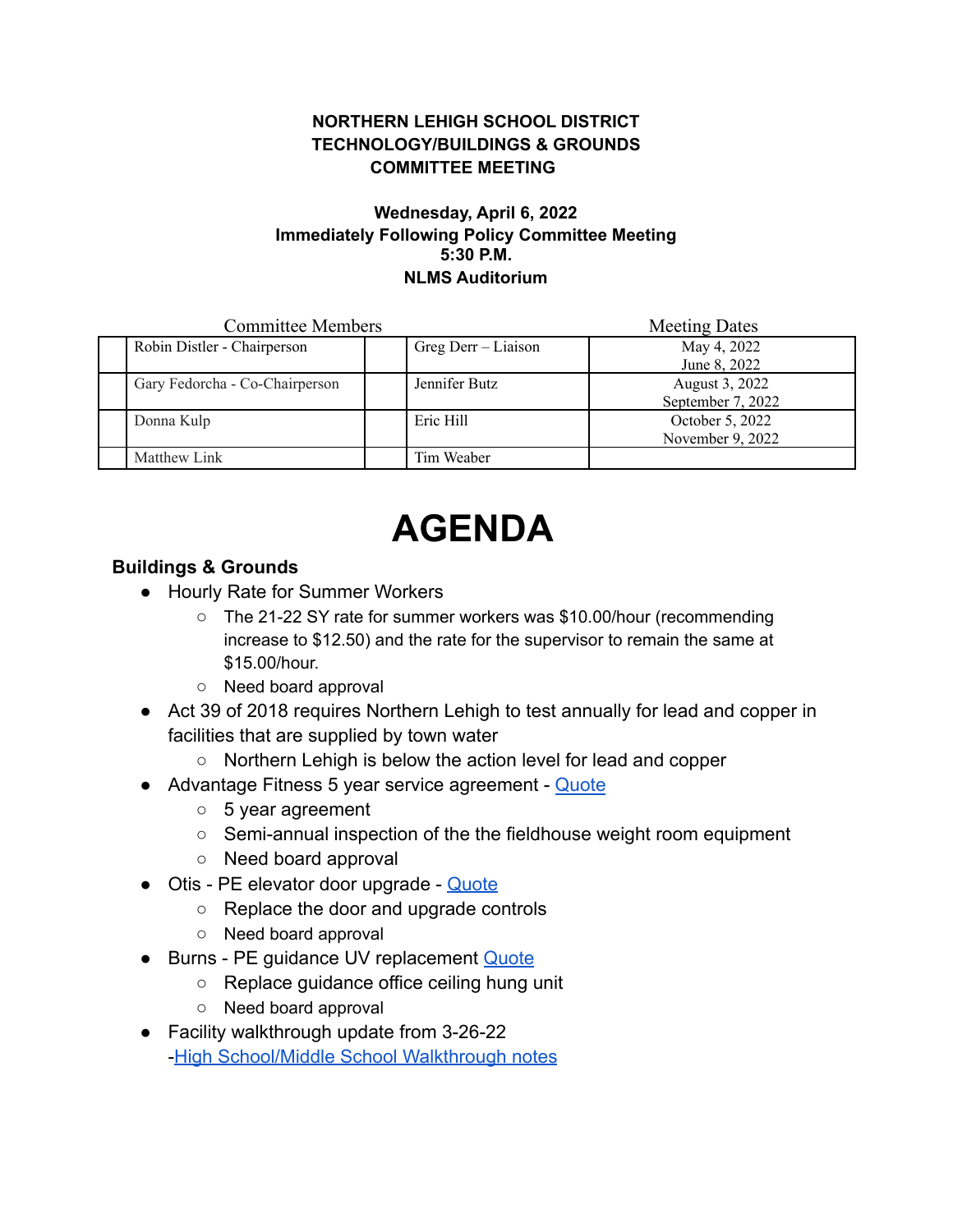#### **NORTHERN LEHIGH SCHOOL DISTRICT TECHNOLOGY/BUILDINGS & GROUNDS COMMITTEE MEETING**

#### **Wednesday, April 6, 2022 Immediately Following Policy Committee Meeting 5:30 P.M. NLMS Auditorium**

| <b>Committee Members</b> |                                |  |                     | <b>Meeting Dates</b>                |
|--------------------------|--------------------------------|--|---------------------|-------------------------------------|
|                          | Robin Distler - Chairperson    |  | Greg Derr – Liaison | May 4, 2022                         |
|                          |                                |  |                     | June 8, 2022                        |
|                          | Gary Fedorcha - Co-Chairperson |  | Jennifer Butz       | August 3, 2022<br>September 7, 2022 |
|                          | Donna Kulp                     |  | Eric Hill           | October 5, 2022<br>November 9, 2022 |
|                          | Matthew Link                   |  | Tim Weaber          |                                     |

# **AGENDA**

## **Buildings & Grounds**

- Hourly Rate for Summer Workers
	- The 21-22 SY rate for summer workers was \$10.00/hour (recommending increase to \$12.50) and the rate for the supervisor to remain the same at \$15.00/hour.
	- Need board approval
- Act 39 of 2018 requires Northern Lehigh to test annually for lead and copper in facilities that are supplied by town water
	- Northern Lehigh is below the action level for lead and copper
- Advantage Fitness 5 year service agreement [Quote](https://drive.google.com/file/d/1hvrUrvwVR6ReVzzmYLp258EsSRSkmwIw/view?usp=sharing)
	- 5 year agreement
	- Semi-annual inspection of the the fieldhouse weight room equipment
	- Need board approval
- Otis PE elevator door upgrade [Quote](https://drive.google.com/file/d/1uRZBq6ImxwfzkjxzOzOh843jg2nMHF-O/view?usp=sharing)
	- Replace the door and upgrade controls
	- Need board approval
- Burns PE guidance UV replacement [Quote](https://drive.google.com/file/d/1-AaTyUPUplJuDuOfAaOECtq_3lnFw9tP/view?usp=sharing)
	- Replace guidance office ceiling hung unit
	- Need board approval
- Facility walkthrough update from 3-26-22 -[High School/Middle School Walkthrough notes](https://docs.google.com/document/d/18mc0bGTgPYa1CjrSULNyftFnjsmhmb3w/edit?usp=sharing&ouid=102609620345304660753&rtpof=true&sd=true)